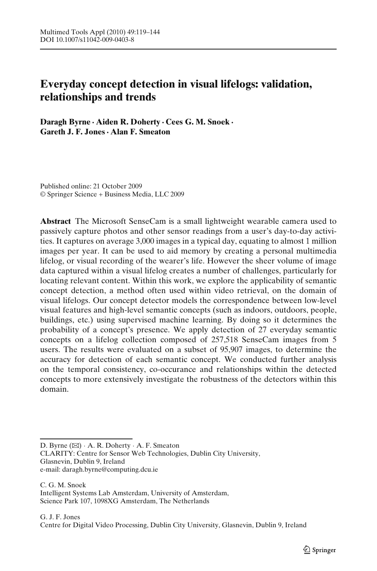# **Everyday concept detection in visual lifelogs: validation, relationships and trends**

**Daragh Byrne · Aiden R. Doherty · Cees G. M. Snoek · Gareth J. F. Jones· Alan F. Smeaton**

Published online: 21 October 2009 © Springer Science + Business Media, LLC 2009

**Abstract** The Microsoft SenseCam is a small lightweight wearable camera used to passively capture photos and other sensor readings from a user's day-to-day activities. It captures on average 3,000 images in a typical day, equating to almost 1 million images per year. It can be used to aid memory by creating a personal multimedia lifelog, or visual recording of the wearer's life. However the sheer volume of image data captured within a visual lifelog creates a number of challenges, particularly for locating relevant content. Within this work, we explore the applicability of semantic concept detection, a method often used within video retrieval, on the domain of visual lifelogs. Our concept detector models the correspondence between low-level visual features and high-level semantic concepts (such as indoors, outdoors, people, buildings, etc.) using supervised machine learning. By doing so it determines the probability of a concept's presence. We apply detection of 27 everyday semantic concepts on a lifelog collection composed of 257,518 SenseCam images from 5 users. The results were evaluated on a subset of 95,907 images, to determine the accuracy for detection of each semantic concept. We conducted further analysis on the temporal consistency, co-occurance and relationships within the detected concepts to more extensively investigate the robustness of the detectors within this domain.

D. Byrne  $(\boxtimes)$  · A. R. Doherty · A. F. Smeaton

CLARITY: Centre for Sensor Web Technologies, Dublin City University, Glasnevin, Dublin 9, Ireland e-mail: daragh.byrne@computing.dcu.ie

C. G. M. Snoek Intelligent Systems Lab Amsterdam, University of Amsterdam, Science Park 107, 1098XG Amsterdam, The Netherlands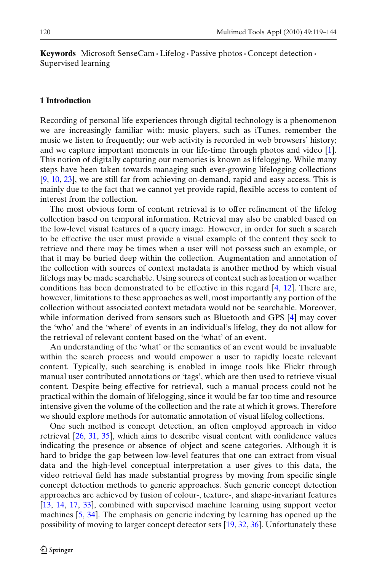**Keywords** Microsoft SenseCam **·**Lifelog **·** Passive photos**·** Concept detection **·** Supervised learning

## **1 Introduction**

Recording of personal life experiences through digital technology is a phenomenon we are increasingly familiar with: music players, such as iTunes, remember the music we listen to frequently; our web activity is recorded in web browsers' history; and we capture important moments in our life-time through photos and video [\[1](#page-21-0)]. This notion of digitally capturing our memories is known as lifelogging. While many steps have been taken towards managing such ever-growing lifelogging collections [\[9,](#page-21-0) [10](#page-22-0), [23](#page-22-0)], we are still far from achieving on-demand, rapid and easy access. This is mainly due to the fact that we cannot yet provide rapid, flexible access to content of interest from the collection.

The most obvious form of content retrieval is to offer refinement of the lifelog collection based on temporal information. Retrieval may also be enabled based on the low-level visual features of a query image. However, in order for such a search to be effective the user must provide a visual example of the content they seek to retrieve and there may be times when a user will not possess such an example, or that it may be buried deep within the collection. Augmentation and annotation of the collection with sources of context metadata is another method by which visual lifelogs may be made searchable. Using sources of context such as location or weather conditions has been demonstrated to be effective in this regard  $[4, 12]$  $[4, 12]$  $[4, 12]$  $[4, 12]$ . There are, however, limitations to these approaches as well, most importantly any portion of the collection without associated context metadata would not be searchable. Moreover, while information derived from sensors such as Bluetooth and GPS [\[4\]](#page-21-0) may cover the 'who' and the 'where' of events in an individual's lifelog, they do not allow for the retrieval of relevant content based on the 'what' of an event.

An understanding of the 'what' or the semantics of an event would be invaluable within the search process and would empower a user to rapidly locate relevant content. Typically, such searching is enabled in image tools like Flickr through manual user contributed annotations or 'tags', which are then used to retrieve visual content. Despite being effective for retrieval, such a manual process could not be practical within the domain of lifelogging, since it would be far too time and resource intensive given the volume of the collection and the rate at which it grows. Therefore we should explore methods for automatic annotation of visual lifelog collections.

One such method is concept detection, an often employed approach in video retrieval [\[26,](#page-22-0) [31,](#page-23-0) [35](#page-23-0)], which aims to describe visual content with confidence values indicating the presence or absence of object and scene categories. Although it is hard to bridge the gap between low-level features that one can extract from visual data and the high-level conceptual interpretation a user gives to this data, the video retrieval field has made substantial progress by moving from specific single concept detection methods to generic approaches. Such generic concept detection approaches are achieved by fusion of colour-, texture-, and shape-invariant features [\[13](#page-22-0), [14](#page-22-0), [17,](#page-22-0) [33](#page-23-0)], combined with supervised machine learning using support vector machines [\[5](#page-21-0), [34](#page-23-0)]. The emphasis on generic indexing by learning has opened up the possibility of moving to larger concept detector sets [\[19](#page-22-0), [32](#page-23-0), [36\]](#page-23-0). Unfortunately these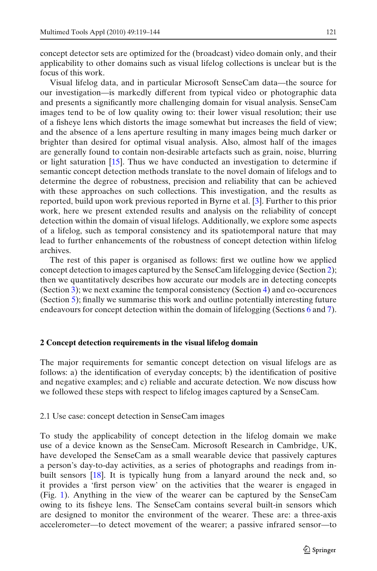concept detector sets are optimized for the (broadcast) video domain only, and their applicability to other domains such as visual lifelog collections is unclear but is the focus of this work.

Visual lifelog data, and in particular Microsoft SenseCam data—the source for our investigation—is markedly different from typical video or photographic data and presents a significantly more challenging domain for visual analysis. SenseCam images tend to be of low quality owing to: their lower visual resolution; their use of a fisheye lens which distorts the image somewhat but increases the field of view; and the absence of a lens aperture resulting in many images being much darker or brighter than desired for optimal visual analysis. Also, almost half of the images are generally found to contain non-desirable artefacts such as grain, noise, blurring or light saturation [\[15\]](#page-22-0). Thus we have conducted an investigation to determine if semantic concept detection methods translate to the novel domain of lifelogs and to determine the degree of robustness, precision and reliability that can be achieved with these approaches on such collections. This investigation, and the results as reported, build upon work previous reported in Byrne et al. [\[3](#page-21-0)]. Further to this prior work, here we present extended results and analysis on the reliability of concept detection within the domain of visual lifelogs. Additionally, we explore some aspects of a lifelog, such as temporal consistency and its spatiotemporal nature that may lead to further enhancements of the robustness of concept detection within lifelog archives.

The rest of this paper is organised as follows: first we outline how we applied concept detection to images captured by the SenseCam lifelogging device (Section 2); then we quantitatively describes how accurate our models are in detecting concepts (Section [3\)](#page-8-0); we next examine the temporal consistency (Section [4\)](#page-12-0) and co-occurences (Section [5\)](#page-15-0); finally we summarise this work and outline potentially interesting future endeavours for concept detection within the domain of lifelogging (Sections [6](#page-19-0) and [7\)](#page-20-0).

## **2 Concept detection requirements in the visual lifelog domain**

The major requirements for semantic concept detection on visual lifelogs are as follows: a) the identification of everyday concepts; b) the identification of positive and negative examples; and c) reliable and accurate detection. We now discuss how we followed these steps with respect to lifelog images captured by a SenseCam.

## 2.1 Use case: concept detection in SenseCam images

To study the applicability of concept detection in the lifelog domain we make use of a device known as the SenseCam. Microsoft Research in Cambridge, UK, have developed the SenseCam as a small wearable device that passively captures a person's day-to-day activities, as a series of photographs and readings from inbuilt sensors [\[18\]](#page-22-0). It is typically hung from a lanyard around the neck and, so it provides a 'first person view' on the activities that the wearer is engaged in (Fig. [1\)](#page-3-0). Anything in the view of the wearer can be captured by the SenseCam owing to its fisheye lens. The SenseCam contains several built-in sensors which are designed to monitor the environment of the wearer. These are: a three-axis accelerometer—to detect movement of the wearer; a passive infrared sensor—to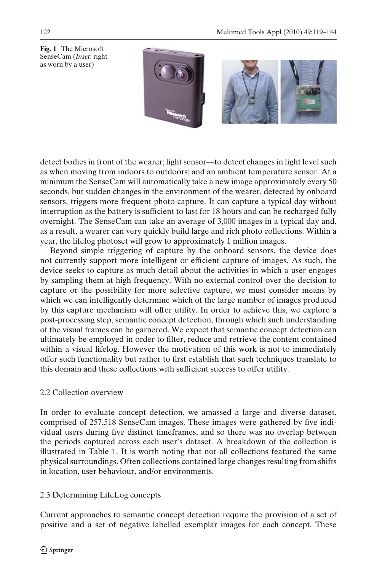

<span id="page-3-0"></span>**Fig. 1** The Microsoft SenseCam (*Inset*: right as worn by a user)

detect bodies in front of the wearer; light sensor—to detect changes in light level such as when moving from indoors to outdoors; and an ambient temperature sensor. At a minimum the SenseCam will automatically take a new image approximately every 50 seconds, but sudden changes in the environment of the wearer, detected by onboard sensors, triggers more frequent photo capture. It can capture a typical day without interruption as the battery is sufficient to last for 18 hours and can be recharged fully overnight. The SenseCam can take an average of 3,000 images in a typical day and, as a result, a wearer can very quickly build large and rich photo collections. Within a year, the lifelog photoset will grow to approximately 1 million images.

Beyond simple triggering of capture by the onboard sensors, the device does not currently support more intelligent or efficient capture of images. As such, the device seeks to capture as much detail about the activities in which a user engages by sampling them at high frequency. With no external control over the decision to capture or the possibility for more selective capture, we must consider means by which we can intelligently determine which of the large number of images produced by this capture mechanism will offer utility. In order to achieve this, we explore a post-processing step, semantic concept detection, through which such understanding of the visual frames can be garnered. We expect that semantic concept detection can ultimately be employed in order to filter, reduce and retrieve the content contained within a visual lifelog. However the motivation of this work is not to immediately offer such functionality but rather to first establish that such techniques translate to this domain and these collections with sufficient success to offer utility.

# 2.2 Collection overview

In order to evaluate concept detection, we amassed a large and diverse dataset, comprised of 257,518 SenseCam images. These images were gathered by five individual users during five distinct timeframes, and so there was no overlap between the periods captured across each user's dataset. A breakdown of the collection is illustrated in Table [1.](#page-4-0) It is worth noting that not all collections featured the same physical surroundings. Often collections contained large changes resulting from shifts in location, user behaviour, and/or environments.

# 2.3 Determining LifeLog concepts

Current approaches to semantic concept detection require the provision of a set of positive and a set of negative labelled exemplar images for each concept. These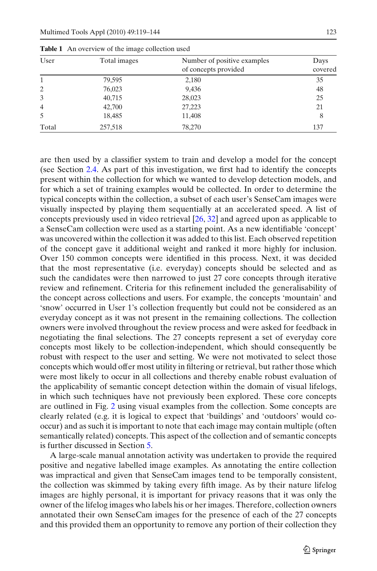| User           | Total images | Number of positive examples | Days    |
|----------------|--------------|-----------------------------|---------|
|                |              | of concepts provided        | covered |
|                | 79,595       | 2,180                       | 35      |
| $\overline{2}$ | 76,023       | 9,436                       | 48      |
| 3              | 40,715       | 28,023                      | 25      |
| $\overline{4}$ | 42,700       | 27,223                      | 21      |
| 5              | 18,485       | 11,408                      | 8       |
| Total          | 257,518      | 78,270                      | 137     |

<span id="page-4-0"></span>**Table 1** An overview of the image collection used

are then used by a classifier system to train and develop a model for the concept (see Section [2.4.](#page-6-0) As part of this investigation, we first had to identify the concepts present within the collection for which we wanted to develop detection models, and for which a set of training examples would be collected. In order to determine the typical concepts within the collection, a subset of each user's SenseCam images were visually inspected by playing them sequentially at an accelerated speed. A list of concepts previously used in video retrieval [\[26](#page-22-0), [32](#page-23-0)] and agreed upon as applicable to a SenseCam collection were used as a starting point. As a new identifiable 'concept' was uncovered within the collection it was added to this list. Each observed repetition of the concept gave it additional weight and ranked it more highly for inclusion. Over 150 common concepts were identified in this process. Next, it was decided that the most representative (i.e. everyday) concepts should be selected and as such the candidates were then narrowed to just 27 core concepts through iterative review and refinement. Criteria for this refinement included the generalisability of the concept across collections and users. For example, the concepts 'mountain' and 'snow' occurred in User 1's collection frequently but could not be considered as an everyday concept as it was not present in the remaining collections. The collection owners were involved throughout the review process and were asked for feedback in negotiating the final selections. The 27 concepts represent a set of everyday core concepts most likely to be collection-independent, which should consequently be robust with respect to the user and setting. We were not motivated to select those concepts which would offer most utility in filtering or retrieval, but rather those which were most likely to occur in all collections and thereby enable robust evaluation of the applicability of semantic concept detection within the domain of visual lifelogs, in which such techniques have not previously been explored. These core concepts are outlined in Fig. [2](#page-5-0) using visual examples from the collection. Some concepts are clearly related (e.g. it is logical to expect that 'buildings' and 'outdoors' would cooccur) and as such it is important to note that each image may contain multiple (often semantically related) concepts. This aspect of the collection and of semantic concepts is further discussed in Section [5.](#page-15-0)

A large-scale manual annotation activity was undertaken to provide the required positive and negative labelled image examples. As annotating the entire collection was impractical and given that SenseCam images tend to be temporally consistent, the collection was skimmed by taking every fifth image. As by their nature lifelog images are highly personal, it is important for privacy reasons that it was only the owner of the lifelog images who labels his or her images. Therefore, collection owners annotated their own SenseCam images for the presence of each of the 27 concepts and this provided them an opportunity to remove any portion of their collection they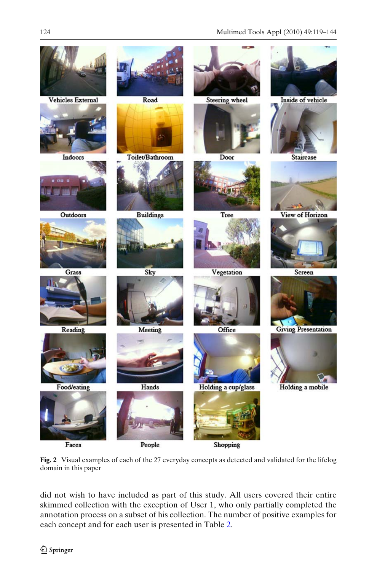<span id="page-5-0"></span>



did not wish to have included as part of this study. All users covered their entire skimmed collection with the exception of User 1, who only partially completed the annotation process on a subset of his collection. The number of positive examples for each concept and for each user is presented in Table [2.](#page-6-0)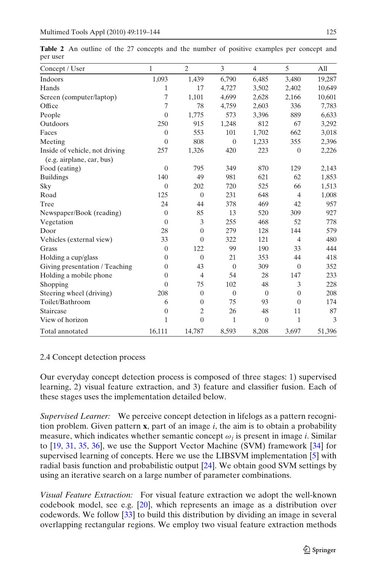| Concept / User                                              | $\mathbf{1}$     | $\overline{2}$ | 3              | $\overline{4}$ | 5                | All    |
|-------------------------------------------------------------|------------------|----------------|----------------|----------------|------------------|--------|
| Indoors                                                     | 1,093            | 1,439          | 6,790          | 6,485          | 3,480            | 19,287 |
| Hands                                                       | 1                | 17             | 4,727          | 3,502          | 2,402            | 10,649 |
| Screen (computer/laptop)                                    | 7                | 1,101          | 4,699          | 2,628          | 2,166            | 10,601 |
| Office                                                      | $\overline{7}$   | 78             | 4,759          | 2,603          | 336              | 7,783  |
| People                                                      | $\overline{0}$   | 1,775          | 573            | 3,396          | 889              | 6,633  |
| Outdoors                                                    | 250              | 915            | 1,248          | 812            | 67               | 3,292  |
| Faces                                                       | $\Omega$         | 553            | 101            | 1,702          | 662              | 3,018  |
| Meeting                                                     | $\theta$         | 808            | $\overline{0}$ | 1,233          | 355              | 2,396  |
| Inside of vehicle, not driving<br>(e.g. airplane, car, bus) | 257              | 1,326          | 420            | 223            | $\boldsymbol{0}$ | 2,226  |
| Food (eating)                                               | $\overline{0}$   | 795            | 349            | 870            | 129              | 2,143  |
| <b>Buildings</b>                                            | 140              | 49             | 981            | 621            | 62               | 1,853  |
| Sky                                                         | $\overline{0}$   | 202            | 720            | 525            | 66               | 1,513  |
| Road                                                        | 125              | $\overline{0}$ | 231            | 648            | 4                | 1,008  |
| Tree                                                        | 24               | 44             | 378            | 469            | 42               | 957    |
| Newspaper/Book (reading)                                    | $\theta$         | 85             | 13             | 520            | 309              | 927    |
| Vegetation                                                  | $\Omega$         | 3              | 255            | 468            | 52               | 778    |
| Door                                                        | 28               | $\overline{0}$ | 279            | 128            | 144              | 579    |
| Vehicles (external view)                                    | 33               | $\overline{0}$ | 322            | 121            | 4                | 480    |
| Grass                                                       | $\overline{0}$   | 122            | 99             | 190            | 33               | 444    |
| Holding a cup/glass                                         | $\Omega$         | $\overline{0}$ | 21             | 353            | 44               | 418    |
| Giving presentation / Teaching                              | $\overline{0}$   | 43             | $\overline{0}$ | 309            | $\overline{0}$   | 352    |
| Holding a mobile phone                                      | $\theta$         | $\overline{4}$ | 54             | 28             | 147              | 233    |
| Shopping                                                    | $\theta$         | 75             | 102            | 48             | 3                | 228    |
| Steering wheel (driving)                                    | 208              | $\overline{0}$ | $\theta$       | $\Omega$       | $\Omega$         | 208    |
| Toilet/Bathroom                                             | 6                | $\overline{0}$ | 75             | 93             | $\theta$         | 174    |
| Staircase                                                   | $\boldsymbol{0}$ | $\mathfrak{2}$ | 26             | 48             | 11               | 87     |
| View of horizon                                             | 1                | $\overline{0}$ | 1              | $\overline{0}$ | $\mathbf{1}$     | 3      |
| Total annotated                                             | 16,111           | 14,787         | 8,593          | 8,208          | 3,697            | 51,396 |

<span id="page-6-0"></span>**Table 2** An outline of the 27 concepts and the number of positive examples per concept and per user

# 2.4 Concept detection process

Our everyday concept detection process is composed of three stages: 1) supervised learning, 2) visual feature extraction, and 3) feature and classifier fusion. Each of these stages uses the implementation detailed below.

*Supervised Learner:* We perceive concept detection in lifelogs as a pattern recognition problem. Given pattern **x**, part of an image *i*, the aim is to obtain a probability measure, which indicates whether semantic concept  $\omega_j$  is present in image *i*. Similar to [\[19](#page-22-0), [31](#page-23-0), [35](#page-23-0), [36](#page-23-0)], we use the Support Vector Machine (SVM) framework [\[34](#page-23-0)] for supervised learning of concepts. Here we use the LIBSVM implementation [\[5\]](#page-21-0) with radial basis function and probabilistic output [\[24](#page-22-0)]. We obtain good SVM settings by using an iterative search on a large number of parameter combinations.

*Visual Feature Extraction:* For visual feature extraction we adopt the well-known codebook model, see e.g. [\[20](#page-22-0)], which represents an image as a distribution over codewords. We follow [\[33\]](#page-23-0) to build this distribution by dividing an image in several overlapping rectangular regions. We employ two visual feature extraction methods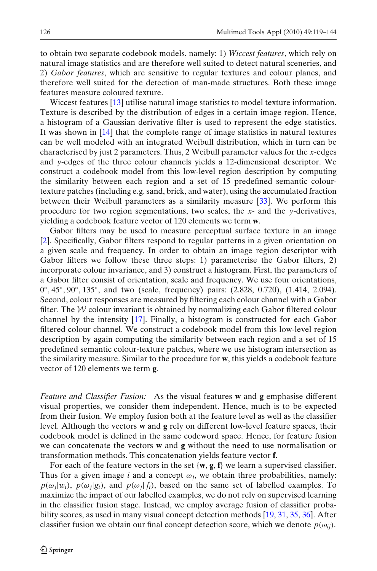to obtain two separate codebook models, namely: 1) *Wiccest features*, which rely on natural image statistics and are therefore well suited to detect natural sceneries, and 2) *Gabor features*, which are sensitive to regular textures and colour planes, and therefore well suited for the detection of man-made structures. Both these image features measure coloured texture.

Wiccest features [\[13\]](#page-22-0) utilise natural image statistics to model texture information. Texture is described by the distribution of edges in a certain image region. Hence, a histogram of a Gaussian derivative filter is used to represent the edge statistics. It was shown in [\[14](#page-22-0)] that the complete range of image statistics in natural textures can be well modeled with an integrated Weibull distribution, which in turn can be characterised by just 2 parameters. Thus, 2 Weibull parameter values for the *x*-edges and *y*-edges of the three colour channels yields a 12-dimensional descriptor. We construct a codebook model from this low-level region description by computing the similarity between each region and a set of 15 predefined semantic colourtexture patches (including e.g. sand, brick, and water), using the accumulated fraction between their Weibull parameters as a similarity measure [\[33](#page-23-0)]. We perform this procedure for two region segmentations, two scales, the *x*- and the *y*-derivatives, yielding a codebook feature vector of 120 elements we term **w**.

Gabor filters may be used to measure perceptual surface texture in an image [\[2\]](#page-21-0). Specifically, Gabor filters respond to regular patterns in a given orientation on a given scale and frequency. In order to obtain an image region descriptor with Gabor filters we follow these three steps: 1) parameterise the Gabor filters, 2) incorporate colour invariance, and 3) construct a histogram. First, the parameters of a Gabor filter consist of orientation, scale and frequency. We use four orientations, 0◦, 45◦, 90◦, 135◦, and two (scale, frequency) pairs: (2.828, 0.720), (1.414, 2.094). Second, colour responses are measured by filtering each colour channel with a Gabor filter. The  $W$  colour invariant is obtained by normalizing each Gabor filtered colour channel by the intensity [\[17](#page-22-0)]. Finally, a histogram is constructed for each Gabor filtered colour channel. We construct a codebook model from this low-level region description by again computing the similarity between each region and a set of 15 predefined semantic colour-texture patches, where we use histogram intersection as the similarity measure. Similar to the procedure for **w**, this yields a codebook feature vector of 120 elements we term **g**.

*Feature and Classifier Fusion:* As the visual features **w** and **g** emphasise different visual properties, we consider them independent. Hence, much is to be expected from their fusion. We employ fusion both at the feature level as well as the classifier level. Although the vectors **w** and **g** rely on different low-level feature spaces, their codebook model is defined in the same codeword space. Hence, for feature fusion we can concatenate the vectors **w** and **g** without the need to use normalisation or transformation methods. This concatenation yields feature vector **f**.

For each of the feature vectors in the set  $\{w, g, f\}$  we learn a supervised classifier. Thus for a given image  $i$  and a concept  $\omega_j$ , we obtain three probabilities, namely:  $p(\omega_i|w_i)$ ,  $p(\omega_i|g_i)$ , and  $p(\omega_i|f_i)$ , based on the same set of labelled examples. To maximize the impact of our labelled examples, we do not rely on supervised learning in the classifier fusion stage. Instead, we employ average fusion of classifier proba-bility scores, as used in many visual concept detection methods [\[19](#page-22-0), [31,](#page-23-0) [35,](#page-23-0) [36](#page-23-0)]. After classifier fusion we obtain our final concept detection score, which we denote  $p(\omega_{ii})$ .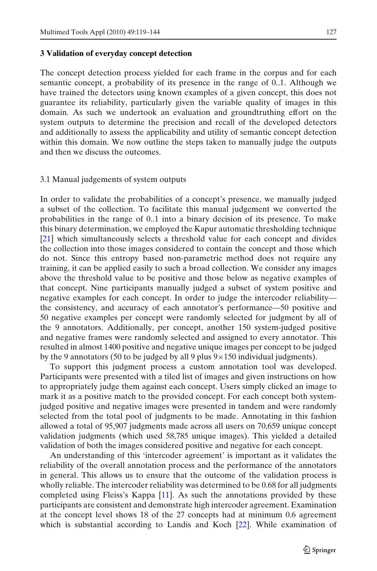## <span id="page-8-0"></span>**3 Validation of everyday concept detection**

The concept detection process yielded for each frame in the corpus and for each semantic concept, a probability of its presence in the range of 0..1. Although we have trained the detectors using known examples of a given concept, this does not guarantee its reliability, particularly given the variable quality of images in this domain. As such we undertook an evaluation and groundtruthing effort on the system outputs to determine the precision and recall of the developed detectors and additionally to assess the applicability and utility of semantic concept detection within this domain. We now outline the steps taken to manually judge the outputs and then we discuss the outcomes.

# 3.1 Manual judgements of system outputs

In order to validate the probabilities of a concept's presence, we manually judged a subset of the collection. To facilitate this manual judgement we converted the probabilities in the range of 0..1 into a binary decision of its presence. To make this binary determination, we employed the Kapur automatic thresholding technique [\[21](#page-22-0)] which simultaneously selects a threshold value for each concept and divides the collection into those images considered to contain the concept and those which do not. Since this entropy based non-parametric method does not require any training, it can be applied easily to such a broad collection. We consider any images above the threshold value to be positive and those below as negative examples of that concept. Nine participants manually judged a subset of system positive and negative examples for each concept. In order to judge the intercoder reliability the consistency, and accuracy of each annotator's performance—50 positive and 50 negative examples per concept were randomly selected for judgment by all of the 9 annotators. Additionally, per concept, another 150 system-judged positive and negative frames were randomly selected and assigned to every annotator. This resulted in almost 1400 positive and negative unique images per concept to be judged by the 9 annotators (50 to be judged by all 9 plus  $9 \times 150$  individual judgments).

To support this judgment process a custom annotation tool was developed. Participants were presented with a tiled list of images and given instructions on how to appropriately judge them against each concept. Users simply clicked an image to mark it as a positive match to the provided concept. For each concept both systemjudged positive and negative images were presented in tandem and were randomly selected from the total pool of judgments to be made. Annotating in this fashion allowed a total of 95,907 judgments made across all users on 70,659 unique concept validation judgments (which used 58,785 unique images). This yielded a detailed validation of both the images considered positive and negative for each concept.

An understanding of this 'intercoder agreement' is important as it validates the reliability of the overall annotation process and the performance of the annotators in general. This allows us to ensure that the outcome of the validation process is wholly reliable. The intercoder reliability was determined to be 0.68 for all judgments completed using Fleiss's Kappa [\[11\]](#page-22-0). As such the annotations provided by these participants are consistent and demonstrate high intercoder agreement. Examination at the concept level shows 18 of the 27 concepts had at minimum 0.6 agreement which is substantial according to Landis and Koch [\[22\]](#page-22-0). While examination of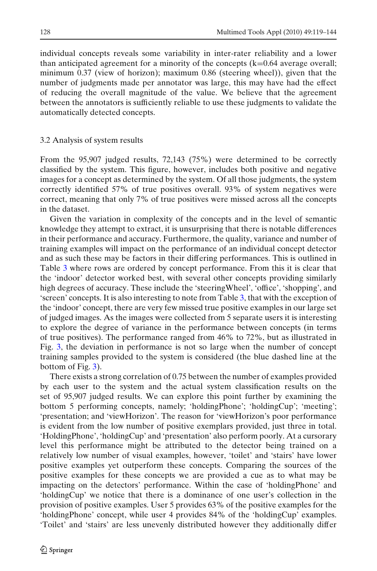individual concepts reveals some variability in inter-rater reliability and a lower than anticipated agreement for a minority of the concepts  $(k=0.64$  average overall; minimum 0.37 (view of horizon); maximum 0.86 (steering wheel)), given that the number of judgments made per annotator was large, this may have had the effect of reducing the overall magnitude of the value. We believe that the agreement between the annotators is sufficiently reliable to use these judgments to validate the automatically detected concepts.

#### 3.2 Analysis of system results

From the 95,907 judged results, 72,143 (75%) were determined to be correctly classified by the system. This figure, however, includes both positive and negative images for a concept as determined by the system. Of all those judgments, the system correctly identified 57% of true positives overall. 93% of system negatives were correct, meaning that only 7% of true positives were missed across all the concepts in the dataset.

Given the variation in complexity of the concepts and in the level of semantic knowledge they attempt to extract, it is unsurprising that there is notable differences in their performance and accuracy. Furthermore, the quality, variance and number of training examples will impact on the performance of an individual concept detector and as such these may be factors in their differing performances. This is outlined in Table [3](#page-10-0) where rows are ordered by concept performance. From this it is clear that the 'indoor' detector worked best, with several other concepts providing similarly high degrees of accuracy. These include the 'steeringWheel', 'office', 'shopping', and 'screen' concepts. It is also interesting to note from Table [3,](#page-10-0) that with the exception of the 'indoor' concept, there are very few missed true positive examples in our large set of judged images. As the images were collected from 5 separate users it is interesting to explore the degree of variance in the performance between concepts (in terms of true positives). The performance ranged from 46% to 72%, but as illustrated in Fig. [3,](#page-10-0) the deviation in performance is not so large when the number of concept training samples provided to the system is considered (the blue dashed line at the bottom of Fig. [3\)](#page-10-0).

There exists a strong correlation of 0.75 between the number of examples provided by each user to the system and the actual system classification results on the set of 95,907 judged results. We can explore this point further by examining the bottom 5 performing concepts, namely; 'holdingPhone'; 'holdingCup'; 'meeting'; 'presentation; and 'viewHorizon'. The reason for 'viewHorizon's poor performance is evident from the low number of positive exemplars provided, just three in total. 'HoldingPhone', 'holdingCup' and 'presentation' also perform poorly. At a cursorary level this performance might be attributed to the detector being trained on a relatively low number of visual examples, however, 'toilet' and 'stairs' have lower positive examples yet outperform these concepts. Comparing the sources of the positive examples for these concepts we are provided a cue as to what may be impacting on the detectors' performance. Within the case of 'holdingPhone' and 'holdingCup' we notice that there is a dominance of one user's collection in the provision of positive examples. User 5 provides 63% of the positive examples for the 'holdingPhone' concept, while user 4 provides 84% of the 'holdingCup' examples. 'Toilet' and 'stairs' are less unevenly distributed however they additionally differ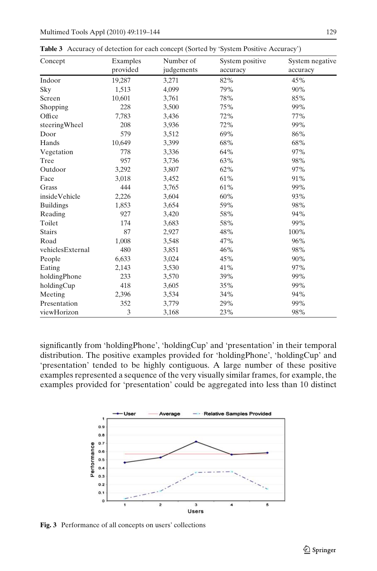| Concept          | Examples | Number of  | System positive | System negative |
|------------------|----------|------------|-----------------|-----------------|
|                  | provided | judgements | accuracy        | accuracy        |
| Indoor           | 19,287   | 3,271      | 82%             | 45%             |
| Sky              | 1,513    | 4,099      | 79%             | 90%             |
| Screen           | 10,601   | 3,761      | 78%             | 85%             |
| Shopping         | 228      | 3,500      | 75%             | 99%             |
| Office           | 7,783    | 3,436      | 72%             | 77%             |
| steeringWheel    | 208      | 3,936      | 72%             | 99%             |
| Door             | 579      | 3,512      | 69%             | 86%             |
| Hands            | 10,649   | 3,399      | 68%             | 68%             |
| Vegetation       | 778      | 3,336      | 64%             | 97%             |
| Tree             | 957      | 3,736      | 63%             | 98%             |
| Outdoor          | 3,292    | 3,807      | 62%             | 97%             |
| Face             | 3,018    | 3,452      | 61%             | 91%             |
| Grass            | 444      | 3,765      | 61%             | 99%             |
| insideVehicle    | 2,226    | 3,604      | 60%             | 93%             |
| <b>Buildings</b> | 1,853    | 3,654      | 59%             | 98%             |
| Reading          | 927      | 3,420      | 58%             | 94%             |
| Toilet           | 174      | 3,683      | 58%             | 99%             |
| <b>Stairs</b>    | 87       | 2,927      | 48%             | 100%            |
| Road             | 1,008    | 3,548      | 47%             | 96%             |
| vehiclesExternal | 480      | 3,851      | 46%             | 98%             |
| People           | 6,633    | 3,024      | 45%             | 90%             |
| Eating           | 2,143    | 3,530      | 41%             | 97%             |
| holdingPhone     | 233      | 3,570      | 39%             | 99%             |
| holdingCup       | 418      | 3,605      | 35%             | 99%             |
| Meeting          | 2,396    | 3,534      | 34%             | 94%             |
| Presentation     | 352      | 3,779      | 29%             | 99%             |
| viewHorizon      | 3        | 3,168      | 23%             | 98%             |

<span id="page-10-0"></span>**Table 3** Accuracy of detection for each concept (Sorted by 'System Positive Accuracy')

significantly from 'holdingPhone', 'holdingCup' and 'presentation' in their temporal distribution. The positive examples provided for 'holdingPhone', 'holdingCup' and 'presentation' tended to be highly contiguous. A large number of these positive examples represented a sequence of the very visually similar frames, for example, the examples provided for 'presentation' could be aggregated into less than 10 distinct



**Fig. 3** Performance of all concepts on users' collections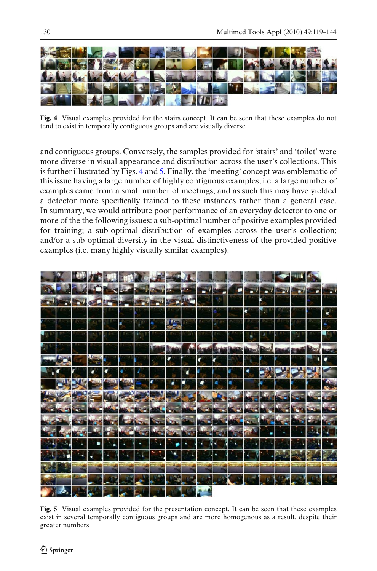

**Fig. 4** Visual examples provided for the stairs concept. It can be seen that these examples do not tend to exist in temporally contiguous groups and are visually diverse

and contiguous groups. Conversely, the samples provided for 'stairs' and 'toilet' were more diverse in visual appearance and distribution across the user's collections. This is further illustrated by Figs. 4 and 5. Finally, the 'meeting' concept was emblematic of this issue having a large number of highly contiguous examples, i.e. a large number of examples came from a small number of meetings, and as such this may have yielded a detector more specifically trained to these instances rather than a general case. In summary, we would attribute poor performance of an everyday detector to one or more of the the following issues: a sub-optimal number of positive examples provided for training; a sub-optimal distribution of examples across the user's collection; and/or a sub-optimal diversity in the visual distinctiveness of the provided positive examples (i.e. many highly visually similar examples).



**Fig. 5** Visual examples provided for the presentation concept. It can be seen that these examples exist in several temporally contiguous groups and are more homogenous as a result, despite their greater numbers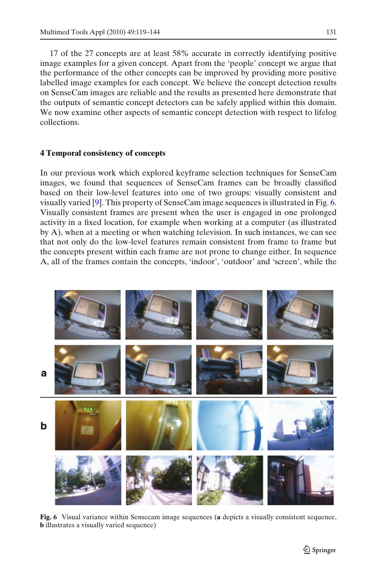<span id="page-12-0"></span>17 of the 27 concepts are at least 58% accurate in correctly identifying positive image examples for a given concept. Apart from the 'people' concept we argue that the performance of the other concepts can be improved by providing more positive labelled image examples for each concept. We believe the concept detection results on SenseCam images are reliable and the results as presented here demonstrate that the outputs of semantic concept detectors can be safely applied within this domain. We now examine other aspects of semantic concept detection with respect to lifelog collections.

## **4 Temporal consistency of concepts**

In our previous work which explored keyframe selection techniques for SenseCam images, we found that sequences of SenseCam frames can be broadly classified based on their low-level features into one of two groups: visually consistent and visually varied [\[9](#page-21-0)]. This property of SenseCam image sequences is illustrated in Fig. 6. Visually consistent frames are present when the user is engaged in one prolonged activity in a fixed location, for example when working at a computer (as illustrated by A), when at a meeting or when watching television. In such instances, we can see that not only do the low-level features remain consistent from frame to frame but the concepts present within each frame are not prone to change either. In sequence A, all of the frames contain the concepts, 'indoor', 'outdoor' and 'screen', while the



**Fig. 6** Visual variance within Sensecam image sequences (**a** depicts a visually consistent sequence, **b** illustrates a visually varied sequence)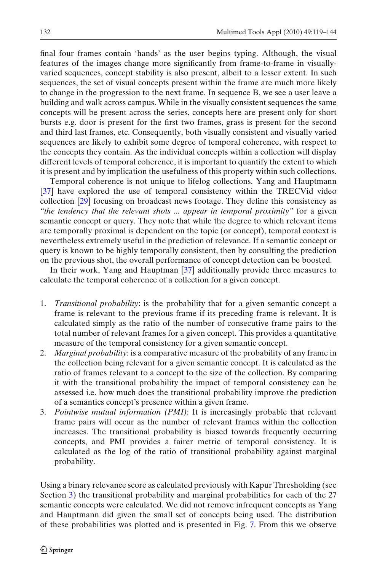final four frames contain 'hands' as the user begins typing. Although, the visual features of the images change more significantly from frame-to-frame in visuallyvaried sequences, concept stability is also present, albeit to a lesser extent. In such sequences, the set of visual concepts present within the frame are much more likely to change in the progression to the next frame. In sequence B, we see a user leave a building and walk across campus. While in the visually consistent sequences the same concepts will be present across the series, concepts here are present only for short bursts e.g. door is present for the first two frames, grass is present for the second and third last frames, etc. Consequently, both visually consistent and visually varied sequences are likely to exhibit some degree of temporal coherence, with respect to the concepts they contain. As the individual concepts within a collection will display different levels of temporal coherence, it is important to quantify the extent to which it is present and by implication the usefulness of this property within such collections.

Temporal coherence is not unique to lifelog collections. Yang and Hauptmann [\[37](#page-23-0)] have explored the use of temporal consistency within the TRECVid video collection [\[29\]](#page-22-0) focusing on broadcast news footage. They define this consistency as *"the tendency that the relevant shots ... appear in temporal proximity"* for a given semantic concept or query. They note that while the degree to which relevant items are temporally proximal is dependent on the topic (or concept), temporal context is nevertheless extremely useful in the prediction of relevance. If a semantic concept or query is known to be highly temporally consistent, then by consulting the prediction on the previous shot, the overall performance of concept detection can be boosted.

In their work, Yang and Hauptman [\[37\]](#page-23-0) additionally provide three measures to calculate the temporal coherence of a collection for a given concept.

- 1. *Transitional probability*: is the probability that for a given semantic concept a frame is relevant to the previous frame if its preceding frame is relevant. It is calculated simply as the ratio of the number of consecutive frame pairs to the total number of relevant frames for a given concept. This provides a quantitative measure of the temporal consistency for a given semantic concept.
- 2. *Marginal probability*: is a comparative measure of the probability of any frame in the collection being relevant for a given semantic concept. It is calculated as the ratio of frames relevant to a concept to the size of the collection. By comparing it with the transitional probability the impact of temporal consistency can be assessed i.e. how much does the transitional probability improve the prediction of a semantics concept's presence within a given frame.
- 3. *Pointwise mutual information (PMI)*: It is increasingly probable that relevant frame pairs will occur as the number of relevant frames within the collection increases. The transitional probability is biased towards frequently occurring concepts, and PMI provides a fairer metric of temporal consistency. It is calculated as the log of the ratio of transitional probability against marginal probability.

Using a binary relevance score as calculated previously with Kapur Thresholding (see Section [3\)](#page-8-0) the transitional probability and marginal probabilities for each of the 27 semantic concepts were calculated. We did not remove infrequent concepts as Yang and Hauptmann did given the small set of concepts being used. The distribution of these probabilities was plotted and is presented in Fig. [7.](#page-14-0) From this we observe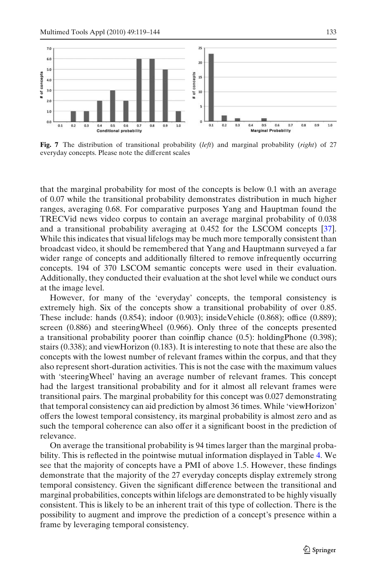<span id="page-14-0"></span>

**Fig. 7** The distribution of transitional probability (*left*) and marginal probability (*right*) of 27 everyday concepts. Please note the different scales

that the marginal probability for most of the concepts is below 0.1 with an average of 0.07 while the transitional probability demonstrates distribution in much higher ranges, averaging 0.68. For comparative purposes Yang and Hauptman found the TRECVid news video corpus to contain an average marginal probability of 0.038 and a transitional probability averaging at 0.452 for the LSCOM concepts [\[37](#page-23-0)]. While this indicates that visual lifelogs may be much more temporally consistent than broadcast video, it should be remembered that Yang and Hauptmann surveyed a far wider range of concepts and additionally filtered to remove infrequently occurring concepts. 194 of 370 LSCOM semantic concepts were used in their evaluation. Additionally, they conducted their evaluation at the shot level while we conduct ours at the image level.

However, for many of the 'everyday' concepts, the temporal consistency is extremely high. Six of the concepts show a transitional probability of over 0.85. These include: hands (0.854); indoor (0.903); insideVehicle (0.868); office (0.889); screen (0.886) and steeringWheel (0.966). Only three of the concepts presented a transitional probability poorer than coinflip chance (0.5): holdingPhone (0.398); stairs (0.338); and viewHorizon (0.183). It is interesting to note that these are also the concepts with the lowest number of relevant frames within the corpus, and that they also represent short-duration activities. This is not the case with the maximum values with 'steeringWheel' having an average number of relevant frames. This concept had the largest transitional probability and for it almost all relevant frames were transitional pairs. The marginal probability for this concept was 0.027 demonstrating that temporal consistency can aid prediction by almost 36 times. While 'viewHorizon' offers the lowest temporal consistency, its marginal probability is almost zero and as such the temporal coherence can also offer it a significant boost in the prediction of relevance.

On average the transitional probability is 94 times larger than the marginal probability. This is reflected in the pointwise mutual information displayed in Table [4.](#page-15-0) We see that the majority of concepts have a PMI of above 1.5. However, these findings demonstrate that the majority of the 27 everyday concepts display extremely strong temporal consistency. Given the significant difference between the transitional and marginal probabilities, concepts within lifelogs are demonstrated to be highly visually consistent. This is likely to be an inherent trait of this type of collection. There is the possibility to augment and improve the prediction of a concept's presence within a frame by leveraging temporal consistency.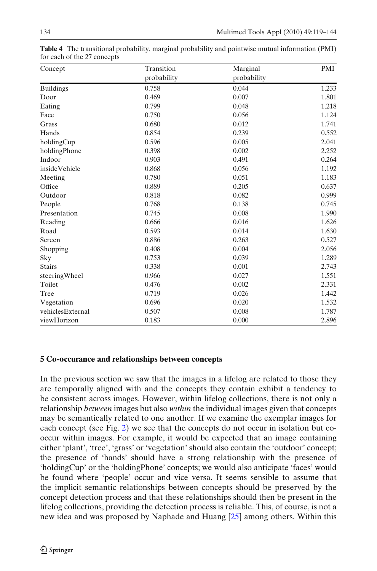| Concept          | Transition  | Marginal    | PMI   |
|------------------|-------------|-------------|-------|
|                  | probability | probability |       |
| <b>Buildings</b> | 0.758       | 0.044       | 1.233 |
| Door             | 0.469       | 0.007       | 1.801 |
| Eating           | 0.799       | 0.048       | 1.218 |
| Face             | 0.750       | 0.056       | 1.124 |
| Grass            | 0.680       | 0.012       | 1.741 |
| Hands            | 0.854       | 0.239       | 0.552 |
| holdingCup       | 0.596       | 0.005       | 2.041 |
| holdingPhone     | 0.398       | 0.002       | 2.252 |
| Indoor           | 0.903       | 0.491       | 0.264 |
| insideVehicle    | 0.868       | 0.056       | 1.192 |
| Meeting          | 0.780       | 0.051       | 1.183 |
| Office           | 0.889       | 0.205       | 0.637 |
| Outdoor          | 0.818       | 0.082       | 0.999 |
| People           | 0.768       | 0.138       | 0.745 |
| Presentation     | 0.745       | 0.008       | 1.990 |
| Reading          | 0.666       | 0.016       | 1.626 |
| Road             | 0.593       | 0.014       | 1.630 |
| Screen           | 0.886       | 0.263       | 0.527 |
| Shopping         | 0.408       | 0.004       | 2.056 |
| Sky              | 0.753       | 0.039       | 1.289 |
| <b>Stairs</b>    | 0.338       | 0.001       | 2.743 |
| steeringWheel    | 0.966       | 0.027       | 1.551 |
| Toilet           | 0.476       | 0.002       | 2.331 |
| Tree             | 0.719       | 0.026       | 1.442 |
| Vegetation       | 0.696       | 0.020       | 1.532 |
| vehiclesExternal | 0.507       | 0.008       | 1.787 |
| viewHorizon      | 0.183       | 0.000       | 2.896 |

<span id="page-15-0"></span>**Table 4** The transitional probability, marginal probability and pointwise mutual information (PMI) for each of the 27 concepts

# **5 Co-occurance and relationships between concepts**

In the previous section we saw that the images in a lifelog are related to those they are temporally aligned with and the concepts they contain exhibit a tendency to be consistent across images. However, within lifelog collections, there is not only a relationship *between* images but also *within* the individual images given that concepts may be semantically related to one another. If we examine the exemplar images for each concept (see Fig. [2\)](#page-5-0) we see that the concepts do not occur in isolation but cooccur within images. For example, it would be expected that an image containing either 'plant', 'tree', 'grass' or 'vegetation' should also contain the 'outdoor' concept; the presence of 'hands' should have a strong relationship with the presence of 'holdingCup' or the 'holdingPhone' concepts; we would also anticipate 'faces' would be found where 'people' occur and vice versa. It seems sensible to assume that the implicit semantic relationships between concepts should be preserved by the concept detection process and that these relationships should then be present in the lifelog collections, providing the detection process is reliable. This, of course, is not a new idea and was proposed by Naphade and Huang [\[25\]](#page-22-0) among others. Within this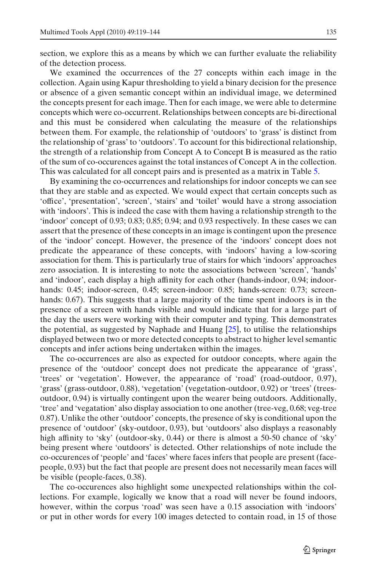section, we explore this as a means by which we can further evaluate the reliability of the detection process.

We examined the occurrences of the 27 concepts within each image in the collection. Again using Kapur thresholding to yield a binary decision for the presence or absence of a given semantic concept within an individual image, we determined the concepts present for each image. Then for each image, we were able to determine concepts which were co-occurrent. Relationships between concepts are bi-directional and this must be considered when calculating the measure of the relationships between them. For example, the relationship of 'outdoors' to 'grass' is distinct from the relationship of 'grass' to 'outdoors'. To account for this bidirectional relationship, the strength of a relationship from Concept A to Concept B is measured as the ratio of the sum of co-occurences against the total instances of Concept A in the collection. This was calculated for all concept pairs and is presented as a matrix in Table [5.](#page-17-0)

By examining the co-occurrences and relationships for indoor concepts we can see that they are stable and as expected. We would expect that certain concepts such as 'office', 'presentation', 'screen', 'stairs' and 'toilet' would have a strong association with 'indoors'. This is indeed the case with them having a relationship strength to the 'indoor' concept of 0.93; 0.83; 0.85; 0.94; and 0.93 respectively. In these cases we can assert that the presence of these concepts in an image is contingent upon the presence of the 'indoor' concept. However, the presence of the 'indoors' concept does not predicate the appearance of these concepts, with 'indoors' having a low-scoring association for them. This is particularly true of stairs for which 'indoors' approaches zero association. It is interesting to note the associations between 'screen', 'hands' and 'indoor', each display a high affinity for each other (hands-indoor, 0.94; indoorhands: 0.45; indoor-screen, 0.45; screen-indoor: 0.85; hands-screen: 0.73; screenhands: 0.67). This suggests that a large majority of the time spent indoors is in the presence of a screen with hands visible and would indicate that for a large part of the day the users were working with their computer and typing. This demonstrates the potential, as suggested by Naphade and Huang [\[25\]](#page-22-0), to utilise the relationships displayed between two or more detected concepts to abstract to higher level semantic concepts and infer actions being undertaken within the images.

The co-occurrences are also as expected for outdoor concepts, where again the presence of the 'outdoor' concept does not predicate the appearance of 'grass', 'trees' or 'vegetation'. However, the appearance of 'road' (road-outdoor, 0.97), 'grass' (grass-outdoor, 0.88), 'vegetation' (vegetation-outdoor, 0.92) or 'trees' (treesoutdoor, 0.94) is virtually contingent upon the wearer being outdoors. Additionally, 'tree' and 'vegatation' also display association to one another (tree-veg, 0.68; veg-tree 0.87). Unlike the other 'outdoor' concepts, the presence of sky is conditional upon the presence of 'outdoor' (sky-outdoor, 0.93), but 'outdoors' also displays a reasonably high affinity to 'sky' (outdoor-sky, 0.44) or there is almost a 50-50 chance of 'sky' being present where 'outdoors' is detected. Other relationships of note include the co-occurences of 'people' and 'faces' where faces infers that people are present (facepeople, 0.93) but the fact that people are present does not necessarily mean faces will be visible (people-faces, 0.38).

The co-occurences also highlight some unexpected relationships within the collections. For example, logically we know that a road will never be found indoors, however, within the corpus 'road' was seen have a 0.15 association with 'indoors' or put in other words for every 100 images detected to contain road, in 15 of those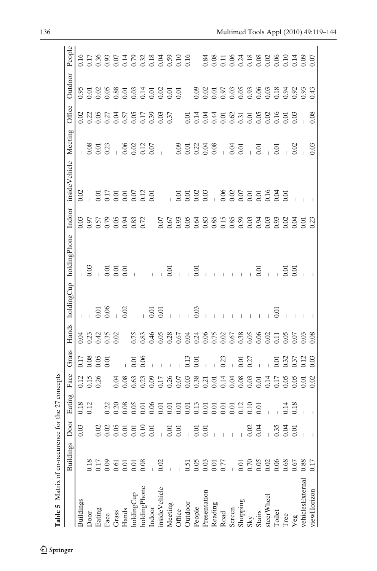<span id="page-17-0"></span>

| Table 5 Matrix of co-occurence |                  |                                                     | for the 27 concepts |                   |                   |       |      |                         |                            |                   |                              |                       |         |                                     |
|--------------------------------|------------------|-----------------------------------------------------|---------------------|-------------------|-------------------|-------|------|-------------------------|----------------------------|-------------------|------------------------------|-----------------------|---------|-------------------------------------|
|                                | <b>Buildings</b> | <sub>5</sub><br>Ă                                   | Eating              | Face              | Grass             | Hands |      | holdingCup holdingPhone | Indoor                     | inside Vehicle    | Meeting                      | Office                | Outdoor | People                              |
| <b>Buildings</b>               |                  | 0.03                                                | 0.18                | 0.12              | 0.17              | 0.04  |      |                         | 0.03                       | 0.02              |                              | 0.02                  | 0.95    | 0.16                                |
| Door                           | 0.18             |                                                     | 0.12                | 0.15              | 0.08              | 23    |      | 0.03                    | 0.97                       |                   | 0.08                         |                       | 0.01    |                                     |
| Eating                         | 0.17             | 0.02                                                |                     | 0.26              | 0.05              | 3.42  | 0.01 |                         |                            | $\overline{0.01}$ | $0.01$<br>$0.23$             | 0.37<br>0.973<br>0.57 |         | 36<br>0.93<br>0.0.7<br>0.93<br>0.93 |
| $_{\rm Face}$                  | 0.09             | $\begin{array}{c} 0.02 \\ 0.05 \\ 0.01 \end{array}$ | 22                  |                   | 50 <sub>1</sub>   | 0.35  |      |                         | 57<br>0.79<br>0.05<br>0.04 | $0.17\,$          |                              |                       |         |                                     |
| Grass                          | 0.61             |                                                     | 0.20                | 0.04              |                   | 0.02  |      |                         |                            | 0.01              |                              |                       |         |                                     |
| Hands                          | 0.01             |                                                     |                     | 0.08              |                   |       | 0.02 |                         |                            |                   | $-0.06$<br>0.02.10<br>0.07   |                       |         |                                     |
| holdingCup                     | 0.01             |                                                     | 0.05                | 0.63              | 0.01              | 0.75  |      |                         | 0.83                       | 0.07              |                              | 0.05                  |         |                                     |
| holdingPhone                   | 0.08             | $\begin{array}{c} 0.01 \\ 0.10 \\ 0.01 \end{array}$ | $\sum$              | 0.23              | 0.06              | 0.83  |      |                         |                            | 0.12              |                              | 0.17                  | 0.03    |                                     |
| Indoor                         |                  |                                                     | 0.06                | 0.09              |                   | 0.46  | 0.01 |                         |                            | 0.01              |                              | 0.39                  | 0.01    |                                     |
| inside Vehicle                 | 0.02             |                                                     | 0.01                | 0.17              |                   | 0.05  | 0.01 |                         | 0.07                       |                   |                              | 0.03                  | 0.02    |                                     |
| Meeting                        | $\overline{1}$   | $\frac{0.01}{0.01}$                                 | 0.01                | 0.26              |                   | 0.28  |      | 0.01                    | 0.67                       |                   |                              | 0.37                  | 0.01    | 0.59                                |
| Office                         |                  |                                                     | $\sum$              | 0.07              |                   | 0.67  |      |                         | 0.93                       | 0.01              |                              |                       | 0.01    | 0.10                                |
| Outdoor                        | 0.51             |                                                     | 0.01                | 0.03              | 0.13              | 0.04  |      |                         | 0.05                       | 0.01              |                              | 0.01                  |         | 0.16                                |
| People                         | 0.05             | $\overline{0.01}$                                   | 0.13                | 0.38              | 0.01              | 0.24  | 0.03 | 0.01                    | 0.64                       | 0.02              | 0.01<br>0.01<br>0.01<br>0.08 | 0.14                  | 0.09    |                                     |
| Presentation                   | 0.03             | $0.01\,$                                            | $\overline{0.01}$   | $\overline{0.21}$ |                   | 0.06  |      |                         | 0.83                       | 0.03              |                              | 6.04                  | 0.02    | 0.84                                |
| Reading                        | 0.01             | $\overline{\phantom{a}}$                            | 0.01                | $\overline{0.01}$ |                   | 0.75  |      |                         | 0.85                       |                   |                              | 0.44                  | 0.01    | 0.08                                |
| Road                           | 0.77             | $\mathbf{I}$                                        | 0.01                | 0.14              | 0.23              | 0.02  |      |                         | 0.15                       | 0.06              |                              | 0.01                  | 0.97    | 0.11<br>0.034<br>0.038              |
| Screen                         |                  | $\overline{1}$                                      | $\overline{0.01}$   | 0.04              |                   | 0.67  |      |                         |                            | 0.02              | $-3.5$                       |                       | 0.03    |                                     |
| Shopping                       | 0.01             | $\bar{\Gamma}$                                      | 0.12                | 0.08              | 0.01              | 0.38  |      |                         | 85<br>0.59<br>0.94         | 0.07              |                              | $\frac{62}{0.51}$     | 0.05    |                                     |
| Sky                            | 0.70             | $0.02$<br>0.04                                      | 0.10                | 0.03              | 0.27              | 0.05  |      |                         |                            | 0.01              |                              |                       | 0.93    |                                     |
| <b>Stairs</b>                  |                  |                                                     | 0.01                | $\overline{0.01}$ |                   | 0.06  |      | 0.01                    |                            | 0.01              | 0.01                         | 0.05                  | 0.06    |                                     |
| steerWheel                     | $0.02$<br>0.06   |                                                     |                     | 0.14              |                   | 0.02  |      |                         | 0.03                       | 0.16              |                              | 0.02                  | 0.03    |                                     |
| Toilet                         |                  | ᡗ<br>$\frac{3}{2}$                                  |                     | 0.17              | 0.01              | $\Xi$ | 0.01 |                         |                            | 0.04              | 0.01                         | 0.16                  | 0.18    |                                     |
| Tree                           | 0.68             | 0.04                                                | 14                  | 0.05              | 0.32              | 0.05  |      | 0.01                    | 0.02                       | 0.01              |                              | 0.01                  | 0.94    | $0.02$<br>$0.06$<br>$0.10$          |
| Veg                            | 0.67             | 0.01                                                | 0.18                | 0.05              | 0.37              | 0.07  |      | 0.01                    | 0.04                       |                   | 0.02                         | 0.03                  | 0.92    | 0.14                                |
| vehiclesExternal               | 0.88             |                                                     |                     | 50                | $\overline{0.12}$ | 0.03  |      |                         | $\overline{0.01}$          |                   |                              |                       | 0.93    | 0.09                                |
| viewHorizon                    | 0.17             |                                                     |                     | 0.02              | 0.03              | 0.08  |      |                         | 0.23                       |                   | 0.03                         | 0.08                  | 0.43    | 0.07                                |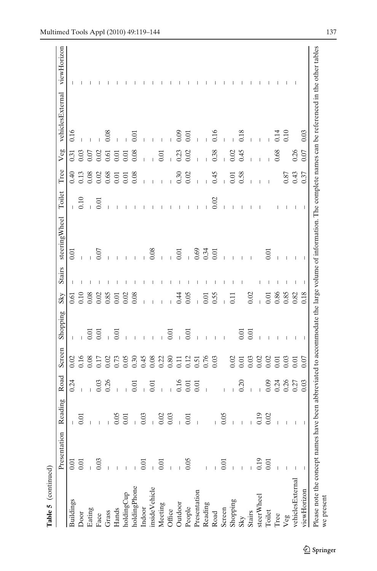|                  | Presentation             | Reading                                                     | Road             | Screen           | Shopping                 | Sky              | Stairs                   | steering Wheel           | Toilet                   | Tree | Veg  | vehiclesExternal | viewHorizon |
|------------------|--------------------------|-------------------------------------------------------------|------------------|------------------|--------------------------|------------------|--------------------------|--------------------------|--------------------------|------|------|------------------|-------------|
| <b>Buildings</b> | 0.01                     | $\begin{array}{c} \end{array}$                              | 0.24             | 8.<br>0.         |                          | 0.61             |                          | 5<br>0.0                 |                          | 0.40 | 0.31 | 0.16             |             |
| Door             | 0.01                     | 0.01                                                        |                  | 0.16             |                          | 0.10             |                          |                          | 0.10                     | 0.13 | 0.03 |                  |             |
| Eating           |                          | $\overline{1}$                                              |                  | 0.08             | 0.01                     | 0.08             |                          |                          |                          | 0.08 | 0.07 |                  |             |
| Face             | 0.03                     |                                                             | 0.03             | 0.17             | 0.01                     | 0.02             |                          | 0.07                     | 5.0                      | 0.02 | 0.02 |                  |             |
| Grass            |                          | Ĺ                                                           | 0.26             | 0.02             |                          | 0.85             |                          |                          |                          | 0.68 | 0.61 | 0.08             |             |
| Hands            |                          |                                                             |                  | 0.73             | 0.01                     | $\overline{0}$ . |                          |                          |                          | 0.01 | 0.01 |                  |             |
| holdingCup       |                          | $\begin{array}{c} 0.05 \\ 0.01 \end{array}$                 |                  | 0.05             |                          | 0.02             |                          |                          |                          | 0.01 | 0.01 |                  |             |
| noldingPhone     |                          | $\begin{array}{c} \begin{array}{c} \end{array} \end{array}$ | 0.01             | 0.30             |                          | 0.08             |                          |                          |                          | 0.08 | 0.08 | 0.01             |             |
| Indoor           | $0.01\,$                 | 0.03                                                        |                  | 0.45             |                          |                  |                          |                          |                          |      |      |                  |             |
| inside Vehicle   |                          | $\overline{1}$                                              | 0.01             | 0.08             |                          |                  |                          | 0.08                     |                          |      |      |                  |             |
| Meeting          | 0.01                     | 0.02                                                        |                  |                  |                          |                  |                          |                          |                          |      | 0.01 |                  |             |
| Office           |                          | 0.03                                                        |                  | $0.22$<br>$0.80$ | 0.01                     |                  |                          |                          |                          |      |      |                  |             |
| Outdoor          |                          | $\overline{1}$                                              | 0.16             |                  |                          | 0.44             |                          | $\Xi$                    |                          | 0.30 | 0.23 | 0.09             |             |
| People           | 0.05                     | 0.01                                                        | 0.01             | $0.11$<br>$0.12$ | 0.01                     | 0.05             |                          |                          |                          | 0.02 | 0.02 | 0.01             |             |
| Presentation     |                          | $\overline{\phantom{a}}$                                    | $\overline{0}$ . | 0.51             |                          |                  |                          | 0.69                     |                          |      |      |                  |             |
| Reading          |                          |                                                             |                  | 0.76             |                          | 0.01             |                          | 0.34                     |                          |      |      |                  |             |
| Road             |                          | $\mathbf{I}$                                                |                  | 0.03             |                          | 0.55             |                          | 0.01                     | 0.02                     | 0.45 | 0.38 | 0.16             |             |
| Screen           | 0.01                     | 0.05                                                        |                  |                  |                          |                  |                          |                          |                          |      |      |                  |             |
| Shopping         |                          | $\overline{\phantom{a}}$                                    |                  | 0.02             |                          | 0.11             |                          |                          |                          | 0.01 | 0.02 |                  |             |
| Sky              |                          | $\begin{array}{c} \hline \end{array}$                       | 0.20             | 0.01             | 0.01                     |                  |                          |                          |                          | 0.58 | 0.45 | 0.18             |             |
| <b>Stairs</b>    |                          | $\mathbf{I}$                                                |                  | 0.03             | 0.01                     | 0.02             |                          |                          |                          |      |      |                  |             |
| steerWheel       | 0.19                     | 0.19                                                        |                  | 0.02             |                          |                  |                          |                          |                          |      |      |                  |             |
| <b>Toilet</b>    | 0.01                     | 0.02                                                        | 0.09             | 0.02             |                          | 0.01             |                          | 0.01                     |                          |      |      |                  |             |
| Tree             |                          | $\mathbf{I}$                                                | 0.24             | 0.01             |                          | 0.86             |                          |                          |                          |      | 0.68 | 0.14             |             |
| Veg              |                          |                                                             | 0.26             | 0.03             |                          | 0.85             |                          |                          |                          | 0.87 |      | 0.10             |             |
| vehiclesExternal |                          |                                                             | 0.27             | 0.01             |                          | 0.82             |                          |                          |                          | 0.43 | 0.26 |                  |             |
| viewHorizon      | $\overline{\phantom{a}}$ | $\mid$                                                      | 0.03             | 0.07             | $\overline{\phantom{a}}$ | 0.18             | $\overline{\phantom{a}}$ | $\overline{\phantom{a}}$ | $\overline{\phantom{a}}$ | 0.37 | 0.07 | 0.03             |             |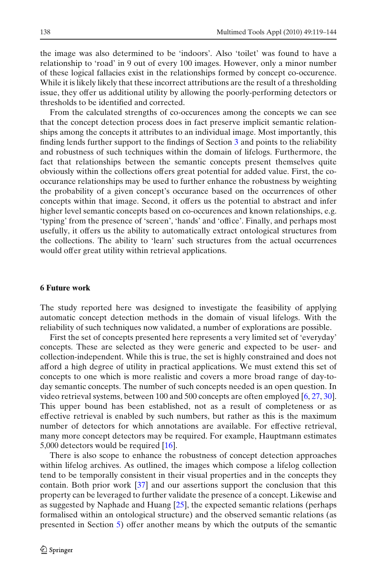<span id="page-19-0"></span>the image was also determined to be 'indoors'. Also 'toilet' was found to have a relationship to 'road' in 9 out of every 100 images. However, only a minor number of these logical fallacies exist in the relationships formed by concept co-occurence. While it is likely likely that these incorrect attributions are the result of a thresholding issue, they offer us additional utility by allowing the poorly-performing detectors or thresholds to be identified and corrected.

From the calculated strengths of co-occurences among the concepts we can see that the concept detection process does in fact preserve implicit semantic relationships among the concepts it attributes to an individual image. Most importantly, this finding lends further support to the findings of Section [3](#page-8-0) and points to the reliability and robustness of such techniques within the domain of lifelogs. Furthermore, the fact that relationships between the semantic concepts present themselves quite obviously within the collections offers great potential for added value. First, the cooccurance relationships may be used to further enhance the robustness by weighting the probability of a given concept's occurance based on the occurrences of other concepts within that image. Second, it offers us the potential to abstract and infer higher level semantic concepts based on co-occurences and known relationships, e.g. 'typing' from the presence of 'screen', 'hands' and 'office'. Finally, and perhaps most usefully, it offers us the ability to automatically extract ontological structures from the collections. The ability to 'learn' such structures from the actual occurrences would offer great utility within retrieval applications.

### **6 Future work**

The study reported here was designed to investigate the feasibility of applying automatic concept detection methods in the domain of visual lifelogs. With the reliability of such techniques now validated, a number of explorations are possible.

First the set of concepts presented here represents a very limited set of 'everyday' concepts. These are selected as they were generic and expected to be user- and collection-independent. While this is true, the set is highly constrained and does not afford a high degree of utility in practical applications. We must extend this set of concepts to one which is more realistic and covers a more broad range of day-today semantic concepts. The number of such concepts needed is an open question. In video retrieval systems, between 100 and 500 concepts are often employed [\[6](#page-21-0), [27](#page-22-0), [30](#page-22-0)]. This upper bound has been established, not as a result of completeness or as effective retrieval is enabled by such numbers, but rather as this is the maximum number of detectors for which annotations are available. For effective retrieval, many more concept detectors may be required. For example, Hauptmann estimates 5,000 detectors would be required [\[16](#page-22-0)].

There is also scope to enhance the robustness of concept detection approaches within lifelog archives. As outlined, the images which compose a lifelog collection tend to be temporally consistent in their visual properties and in the concepts they contain. Both prior work [\[37\]](#page-23-0) and our assertions support the conclusion that this property can be leveraged to further validate the presence of a concept. Likewise and as suggested by Naphade and Huang [\[25\]](#page-22-0), the expected semantic relations (perhaps formalised within an ontological structure) and the observed semantic relations (as presented in Section [5\)](#page-15-0) offer another means by which the outputs of the semantic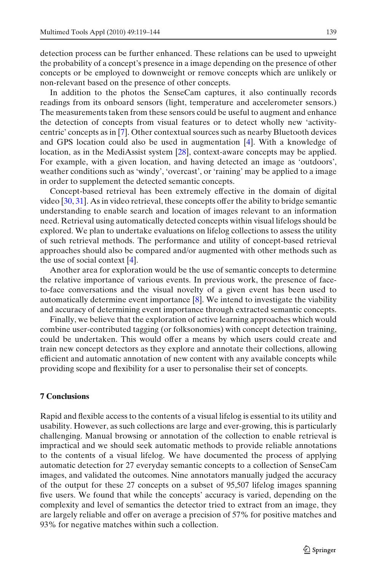<span id="page-20-0"></span>detection process can be further enhanced. These relations can be used to upweight

the probability of a concept's presence in a image depending on the presence of other concepts or be employed to downweight or remove concepts which are unlikely or non-relevant based on the presence of other concepts.

In addition to the photos the SenseCam captures, it also continually records readings from its onboard sensors (light, temperature and accelerometer sensors.) The measurements taken from these sensors could be useful to augment and enhance the detection of concepts from visual features or to detect wholly new 'activitycentric' concepts as in [\[7](#page-21-0)]. Other contextual sources such as nearby Bluetooth devices and GPS location could also be used in augmentation [\[4](#page-21-0)]. With a knowledge of location, as in the MediAssist system [\[28](#page-22-0)], context-aware concepts may be applied. For example, with a given location, and having detected an image as 'outdoors', weather conditions such as 'windy', 'overcast', or 'raining' may be applied to a image in order to supplement the detected semantic concepts.

Concept-based retrieval has been extremely effective in the domain of digital video [\[30,](#page-22-0) [31\]](#page-23-0). As in video retrieval, these concepts offer the ability to bridge semantic understanding to enable search and location of images relevant to an information need. Retrieval using automatically detected concepts within visual lifelogs should be explored. We plan to undertake evaluations on lifelog collections to assess the utility of such retrieval methods. The performance and utility of concept-based retrieval approaches should also be compared and/or augmented with other methods such as the use of social context [\[4\]](#page-21-0).

Another area for exploration would be the use of semantic concepts to determine the relative importance of various events. In previous work, the presence of faceto-face conversations and the visual novelty of a given event has been used to automatically determine event importance [\[8](#page-21-0)]. We intend to investigate the viability and accuracy of determining event importance through extracted semantic concepts.

Finally, we believe that the exploration of active learning approaches which would combine user-contributed tagging (or folksonomies) with concept detection training, could be undertaken. This would offer a means by which users could create and train new concept detectors as they explore and annotate their collections, allowing efficient and automatic annotation of new content with any available concepts while providing scope and flexibility for a user to personalise their set of concepts.

# **7 Conclusions**

Rapid and flexible access to the contents of a visual lifelog is essential to its utility and usability. However, as such collections are large and ever-growing, this is particularly challenging. Manual browsing or annotation of the collection to enable retrieval is impractical and we should seek automatic methods to provide reliable annotations to the contents of a visual lifelog. We have documented the process of applying automatic detection for 27 everyday semantic concepts to a collection of SenseCam images, and validated the outcomes. Nine annotators manually judged the accuracy of the output for these 27 concepts on a subset of 95,507 lifelog images spanning five users. We found that while the concepts' accuracy is varied, depending on the complexity and level of semantics the detector tried to extract from an image, they are largely reliable and offer on average a precision of 57% for positive matches and 93% for negative matches within such a collection.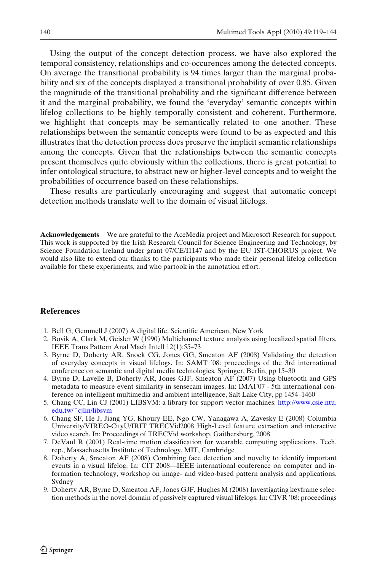<span id="page-21-0"></span>Using the output of the concept detection process, we have also explored the temporal consistency, relationships and co-occurences among the detected concepts. On average the transitional probability is 94 times larger than the marginal probability and six of the concepts displayed a transitional probability of over 0.85. Given the magnitude of the transitional probability and the significant difference between it and the marginal probability, we found the 'everyday' semantic concepts within lifelog collections to be highly temporally consistent and coherent. Furthermore, we highlight that concepts may be semantically related to one another. These relationships between the semantic concepts were found to be as expected and this illustrates that the detection process does preserve the implicit semantic relationships among the concepts. Given that the relationships between the semantic concepts present themselves quite obviously within the collections, there is great potential to infer ontological structure, to abstract new or higher-level concepts and to weight the probabilities of occurrence based on these relationships.

These results are particularly encouraging and suggest that automatic concept detection methods translate well to the domain of visual lifelogs.

**Acknowledgements** We are grateful to the AceMedia project and Microsoft Research for support. This work is supported by the Irish Research Council for Science Engineering and Technology, by Science Foundation Ireland under grant 07/CE/I1147 and by the EU IST-CHORUS project. We would also like to extend our thanks to the participants who made their personal lifelog collection available for these experiments, and who partook in the annotation effort.

## **References**

- 1. Bell G, Gemmell J (2007) A digital life. Scientific American, New York
- 2. Bovik A, Clark M, Geisler W (1990) Multichannel texture analysis using localized spatial filters. IEEE Trans Pattern Anal Mach Intell 12(1):55–73
- 3. Byrne D, Doherty AR, Snoek CG, Jones GG, Smeaton AF (2008) Validating the detection of everyday concepts in visual lifelogs. In: SAMT '08: proceedings of the 3rd international conference on semantic and digital media technologies. Springer, Berlin, pp 15–30
- 4. Byrne D, Lavelle B, Doherty AR, Jones GJF, Smeaton AF (2007) Using bluetooth and GPS metadata to measure event similarity in sensecam images. In: IMAI'07 - 5th international conference on intelligent multimedia and ambient intelligence, Salt Lake City, pp 1454–1460
- 5. Chang CC, Lin CJ (2001) LIBSVM: a library for support vector machines. [http://www.csie.ntu.](http://www.csie.ntu.edu.tw/~cjlin/libsvm) edu.tw/∼[cjlin/libsvm](http://www.csie.ntu.edu.tw/~cjlin/libsvm)
- 6. Chang SF, He J, Jiang YG, Khoury EE, Ngo CW, Yanagawa A, Zavesky E (2008) Columbia University/VIREO-CityU/IRIT TRECVid2008 High-Level feature extraction and interactive video search. In: Proceedings of TRECVid workshop, Gaithersburg, 2008
- 7. DeVaul R (2001) Real-time motion classification for wearable computing applications. Tech. rep., Massachusetts Institute of Technology, MIT, Cambridge
- 8. Doherty A, Smeaton AF (2008) Combining face detection and novelty to identify important events in a visual lifelog. In: CIT 2008—IEEE international conference on computer and information technology, workshop on image- and video-based pattern analysis and applications, Sydney
- 9. Doherty AR, Byrne D, Smeaton AF, Jones GJF, Hughes M (2008) Investigating keyframe selection methods in the novel domain of passively captured visual lifelogs. In: CIVR '08: proceedings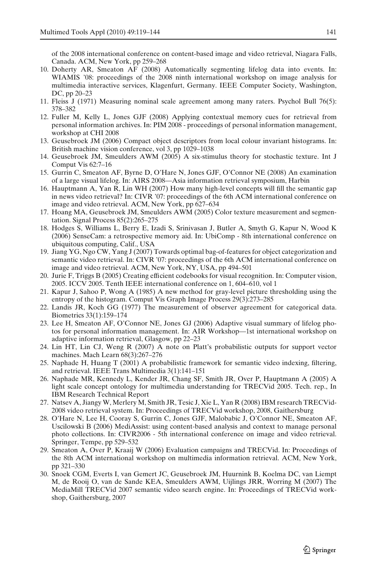<span id="page-22-0"></span>of the 2008 international conference on content-based image and video retrieval, Niagara Falls, Canada. ACM, New York, pp 259–268

- 10. Doherty AR, Smeaton AF (2008) Automatically segmenting lifelog data into events. In: WIAMIS '08: proceedings of the 2008 ninth international workshop on image analysis for multimedia interactive services, Klagenfurt, Germany. IEEE Computer Society, Washington, DC, pp 20–23
- 11. Fleiss J (1971) Measuring nominal scale agreement among many raters. Psychol Bull 76(5): 378–382
- 12. Fuller M, Kelly L, Jones GJF (2008) Applying contextual memory cues for retrieval from personal information archives. In: PIM 2008 - proceedings of personal information management, workshop at CHI 2008
- 13. Geusebroek JM (2006) Compact object descriptors from local colour invariant histograms. In: British machine vision conference, vol 3, pp 1029–1038
- 14. Geusebroek JM, Smeulders AWM (2005) A six-stimulus theory for stochastic texture. Int J Comput Vis 62:7–16
- 15. Gurrin C, Smeaton AF, Byrne D, O'Hare N, Jones GJF, O'Connor NE (2008) An examination of a large visual lifelog. In: AIRS 2008—Asia information retrieval symposium, Harbin
- 16. Hauptmann A, Yan R, Lin WH (2007) How many high-level concepts will fill the semantic gap in news video retrieval? In: CIVR '07: proceedings of the 6th ACM international conference on image and video retrieval. ACM, New York, pp 627–634
- 17. Hoang MA, Geusebroek JM, Smeulders AWM (2005) Color texture measurement and segmentation. Signal Process 85(2):265–275
- 18. Hodges S, Williams L, Berry E, Izadi S, Srinivasan J, Butler A, Smyth G, Kapur N, Wood K (2006) SenseCam: a retrospective memory aid. In: UbiComp - 8th international conference on ubiquitous computing, Calif., USA
- 19. Jiang YG, Ngo CW, Yang J (2007) Towards optimal bag-of-features for object categorization and semantic video retrieval. In: CIVR '07: proceedings of the 6th ACM international conference on image and video retrieval. ACM, New York, NY, USA, pp 494–501
- 20. Jurie F, Triggs B (2005) Creating efficient codebooks for visual recognition. In: Computer vision, 2005. ICCV 2005. Tenth IEEE international conference on 1, 604–610, vol 1
- 21. Kapur J, Sahoo P, Wong A (1985) A new method for gray-level picture thresholding using the entropy of the histogram. Comput Vis Graph Image Process 29(3):273–285
- 22. Landis JR, Koch GG (1977) The measurement of observer agreement for categorical data. Biometrics 33(1):159–174
- 23. Lee H, Smeaton AF, O'Connor NE, Jones GJ (2006) Adaptive visual summary of lifelog photos for personal information management. In: AIR Workshop—1st international workshop on adaptive information retrieval, Glasgow, pp 22–23
- 24. Lin HT, Lin CJ, Weng R (2007) A note on Platt's probabilistic outputs for support vector machines. Mach Learn 68(3):267–276
- 25. Naphade H, Huang T (2001) A probabilistic framework for semantic video indexing, filtering, and retrieval. IEEE Trans Multimedia 3(1):141–151
- 26. Naphade MR, Kennedy L, Kender JR, Chang SF, Smith JR, Over P, Hauptmann A (2005) A light scale concept ontology for multimedia understanding for TRECVid 2005. Tech. rep., In IBM Research Technical Report
- 27. Natsev A, Jiangy W, Merlery M, Smith JR, Tesic J, Xie L, Yan R (2008) IBM research TRECVid-2008 video retrieval system. In: Proceedings of TRECVid workshop, 2008, Gaithersburg
- 28. O'Hare N, Lee H, Cooray S, Gurrin C, Jones GJF, Malobabic J, O'Connor NE, Smeaton AF, Uscilowski B (2006) MediAssist: using content-based analysis and context to manage personal photo collections. In: CIVR2006 - 5th international conference on image and video retrieval. Springer, Tempe, pp 529–532
- 29. Smeaton A, Over P, Kraaij W (2006) Evaluation campaigns and TRECVid. In: Proceedings of the 8th ACM international workshop on multimedia information retrieval. ACM, New York, pp 321–330
- 30. Snoek CGM, Everts I, van Gemert JC, Geusebroek JM, Huurnink B, Koelma DC, van Liempt M, de Rooij O, van de Sande KEA, Smeulders AWM, Uijlings JRR, Worring M (2007) The MediaMill TRECVid 2007 semantic video search engine. In: Proceedings of TRECVid workshop, Gaithersburg, 2007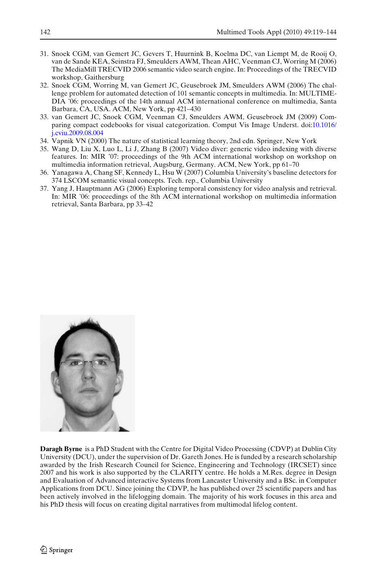- <span id="page-23-0"></span>31. Snoek CGM, van Gemert JC, Gevers T, Huurnink B, Koelma DC, van Liempt M, de Rooij O, van de Sande KEA, Seinstra FJ, Smeulders AWM, Thean AHC, Veenman CJ, Worring M (2006) The MediaMill TRECVID 2006 semantic video search engine. In: Proceedings of the TRECVID workshop, Gaithersburg
- 32. Snoek CGM, Worring M, van Gemert JC, Geusebroek JM, Smeulders AWM (2006) The challenge problem for automated detection of 101 semantic concepts in multimedia. In: MULTIME-DIA '06: proceedings of the 14th annual ACM international conference on multimedia, Santa Barbara, CA, USA. ACM, New York, pp 421–430
- 33. van Gemert JC, Snoek CGM, Veenman CJ, Smeulders AWM, Geusebroek JM (2009) Comparing compact codebooks for visual categorization. Comput Vis Image Underst. doi[:10.1016/](http://dx.doi.org/10.1016/j.cviu.2009.08.004) [j.cviu.2009.08.004](http://dx.doi.org/10.1016/j.cviu.2009.08.004)
- 34. Vapnik VN (2000) The nature of statistical learning theory, 2nd edn. Springer, New York
- 35. Wang D, Liu X, Luo L, Li J, Zhang B (2007) Video diver: generic video indexing with diverse features. In: MIR '07: proceedings of the 9th ACM international workshop on workshop on multimedia information retrieval, Augsburg, Germany. ACM, New York, pp 61–70
- 36. Yanagawa A, Chang SF, Kennedy L, Hsu W (2007) Columbia University's baseline detectors for 374 LSCOM semantic visual concepts. Tech. rep., Columbia University
- 37. Yang J, Hauptmann AG (2006) Exploring temporal consistency for video analysis and retrieval. In: MIR '06: proceedings of the 8th ACM international workshop on multimedia information retrieval, Santa Barbara, pp 33–42



**Daragh Byrne** is a PhD Student with the Centre for Digital Video Processing (CDVP) at Dublin City University (DCU), under the supervision of Dr. Gareth Jones. He is funded by a research scholarship awarded by the Irish Research Council for Science, Engineering and Technology (IRCSET) since 2007 and his work is also supported by the CLARITY centre. He holds a M.Res. degree in Design and Evaluation of Advanced interactive Systems from Lancaster University and a BSc. in Computer Applications from DCU. Since joining the CDVP, he has published over 25 scientific papers and has been actively involved in the lifelogging domain. The majority of his work focuses in this area and his PhD thesis will focus on creating digital narratives from multimodal lifelog content.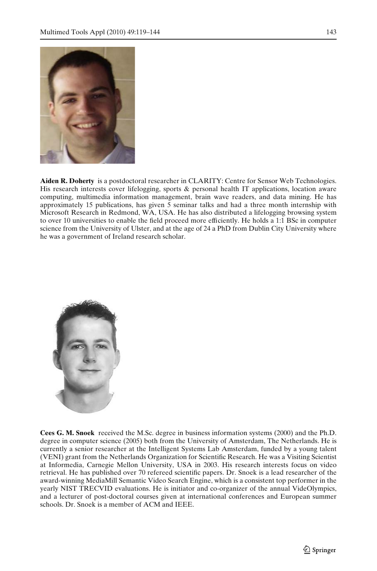

**Aiden R. Doherty** is a postdoctoral researcher in CLARITY: Centre for Sensor Web Technologies. His research interests cover lifelogging, sports & personal health IT applications, location aware computing, multimedia information management, brain wave readers, and data mining. He has approximately 15 publications, has given 5 seminar talks and had a three month internship with Microsoft Research in Redmond, WA, USA. He has also distributed a lifelogging browsing system to over 10 universities to enable the field proceed more efficiently. He holds a 1:1 BSc in computer science from the University of Ulster, and at the age of 24 a PhD from Dublin City University where he was a government of Ireland research scholar.



**Cees G. M. Snoek** received the M.Sc. degree in business information systems (2000) and the Ph.D. degree in computer science (2005) both from the University of Amsterdam, The Netherlands. He is currently a senior researcher at the Intelligent Systems Lab Amsterdam, funded by a young talent (VENI) grant from the Netherlands Organization for Scientific Research. He was a Visiting Scientist at Informedia, Carnegie Mellon University, USA in 2003. His research interests focus on video retrieval. He has published over 70 refereed scientific papers. Dr. Snoek is a lead researcher of the award-winning MediaMill Semantic Video Search Engine, which is a consistent top performer in the yearly NIST TRECVID evaluations. He is initiator and co-organizer of the annual VideOlympics, and a lecturer of post-doctoral courses given at international conferences and European summer schools. Dr. Snoek is a member of ACM and IEEE.